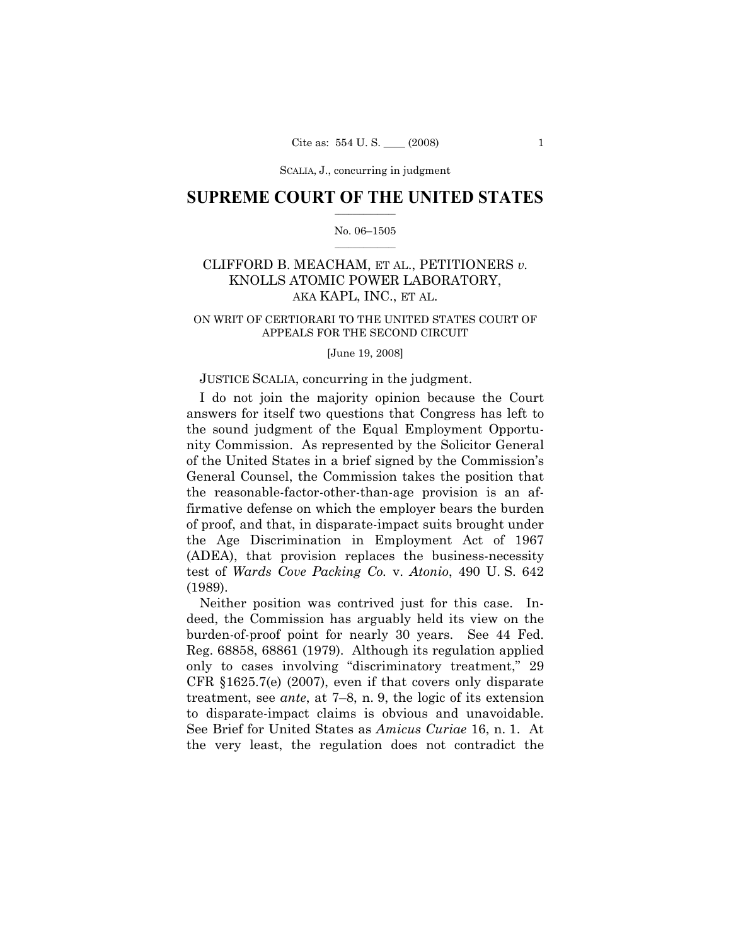SCALIA, J., concurring in judgment

# **SUPREME COURT OF THE UNITED STATES**  $\frac{1}{2}$  ,  $\frac{1}{2}$  ,  $\frac{1}{2}$  ,  $\frac{1}{2}$  ,  $\frac{1}{2}$  ,  $\frac{1}{2}$  ,  $\frac{1}{2}$

## No. 06–1505  $\frac{1}{2}$  ,  $\frac{1}{2}$  ,  $\frac{1}{2}$  ,  $\frac{1}{2}$  ,  $\frac{1}{2}$  ,  $\frac{1}{2}$

# CLIFFORD B. MEACHAM, ET AL., PETITIONERS *v.*  KNOLLS ATOMIC POWER LABORATORY, AKA KAPL, INC., ET AL.

## ON WRIT OF CERTIORARI TO THE UNITED STATES COURT OF APPEALS FOR THE SECOND CIRCUIT

## [June 19, 2008]

# JUSTICE SCALIA, concurring in the judgment.

 I do not join the majority opinion because the Court answers for itself two questions that Congress has left to the sound judgment of the Equal Employment Opportunity Commission. As represented by the Solicitor General of the United States in a brief signed by the Commission's General Counsel, the Commission takes the position that the reasonable-factor-other-than-age provision is an affirmative defense on which the employer bears the burden of proof, and that, in disparate-impact suits brought under the Age Discrimination in Employment Act of 1967 (ADEA), that provision replaces the business-necessity test of *Wards Cove Packing Co.* v. *Atonio*, 490 U. S. 642 (1989).

 Neither position was contrived just for this case. Indeed, the Commission has arguably held its view on the burden-of-proof point for nearly 30 years. See 44 Fed. Reg. 68858, 68861 (1979). Although its regulation applied only to cases involving "discriminatory treatment," 29 CFR §1625.7(e) (2007), even if that covers only disparate treatment, see *ante*, at 7–8, n. 9, the logic of its extension to disparate-impact claims is obvious and unavoidable. See Brief for United States as *Amicus Curiae* 16, n. 1. At the very least, the regulation does not contradict the